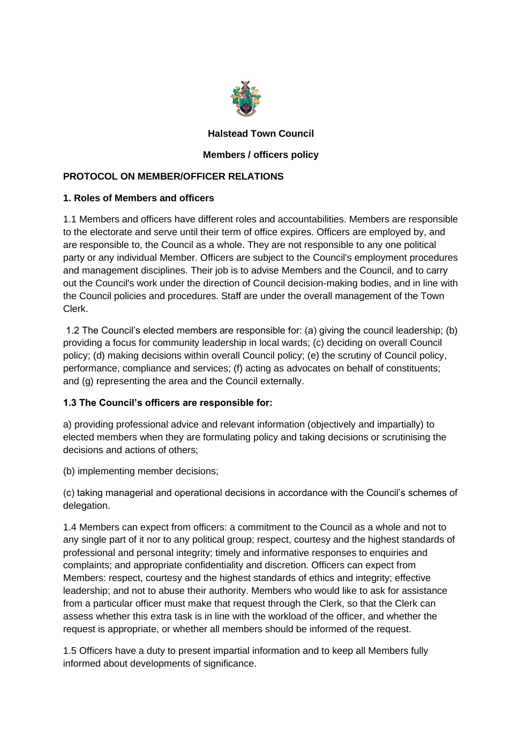

# **Halstead Town Council**

# **Members / officers policy**

#### **PROTOCOL ON MEMBER/OFFICER RELATIONS**

#### **1. Roles of Members and officers**

1.1 Members and officers have different roles and accountabilities. Members are responsible to the electorate and serve until their term of office expires. Officers are employed by, and are responsible to, the Council as a whole. They are not responsible to any one political party or any individual Member. Officers are subject to the Council's employment procedures and management disciplines. Their job is to advise Members and the Council, and to carry out the Council's work under the direction of Council decision-making bodies, and in line with the Council policies and procedures. Staff are under the overall management of the Town Clerk.

1.2 The Council's elected members are responsible for: (a) giving the council leadership; (b) providing a focus for community leadership in local wards; (c) deciding on overall Council policy; (d) making decisions within overall Council policy; (e) the scrutiny of Council policy, performance, compliance and services; (f) acting as advocates on behalf of constituents; and (g) representing the area and the Council externally.

# **1.3 The Council's officers are responsible for:**

a) providing professional advice and relevant information (objectively and impartially) to elected members when they are formulating policy and taking decisions or scrutinising the decisions and actions of others;

(b) implementing member decisions;

(c) taking managerial and operational decisions in accordance with the Council's schemes of delegation.

1.4 Members can expect from officers: a commitment to the Council as a whole and not to any single part of it nor to any political group; respect, courtesy and the highest standards of professional and personal integrity; timely and informative responses to enquiries and complaints; and appropriate confidentiality and discretion. Officers can expect from Members: respect, courtesy and the highest standards of ethics and integrity; effective leadership; and not to abuse their authority. Members who would like to ask for assistance from a particular officer must make that request through the Clerk, so that the Clerk can assess whether this extra task is in line with the workload of the officer, and whether the request is appropriate, or whether all members should be informed of the request.

1.5 Officers have a duty to present impartial information and to keep all Members fully informed about developments of significance.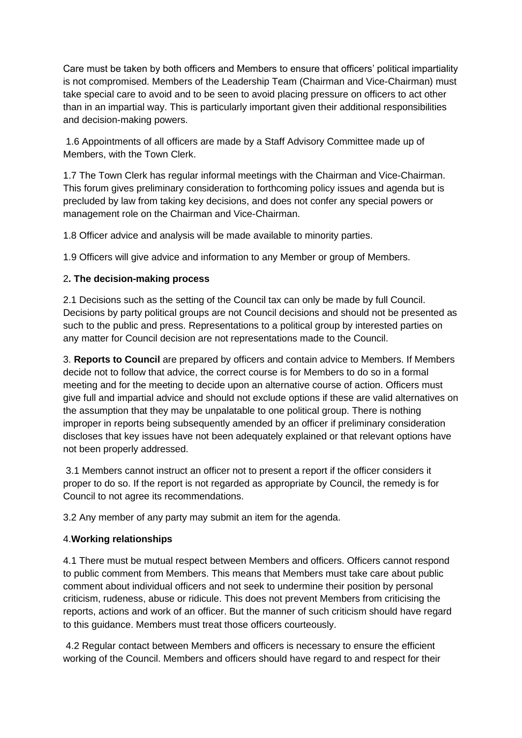Care must be taken by both officers and Members to ensure that officers' political impartiality is not compromised. Members of the Leadership Team (Chairman and Vice-Chairman) must take special care to avoid and to be seen to avoid placing pressure on officers to act other than in an impartial way. This is particularly important given their additional responsibilities and decision-making powers.

1.6 Appointments of all officers are made by a Staff Advisory Committee made up of Members, with the Town Clerk.

1.7 The Town Clerk has regular informal meetings with the Chairman and Vice-Chairman. This forum gives preliminary consideration to forthcoming policy issues and agenda but is precluded by law from taking key decisions, and does not confer any special powers or management role on the Chairman and Vice-Chairman.

1.8 Officer advice and analysis will be made available to minority parties.

1.9 Officers will give advice and information to any Member or group of Members.

#### 2**. The decision-making process**

2.1 Decisions such as the setting of the Council tax can only be made by full Council. Decisions by party political groups are not Council decisions and should not be presented as such to the public and press. Representations to a political group by interested parties on any matter for Council decision are not representations made to the Council.

3. **Reports to Council** are prepared by officers and contain advice to Members. If Members decide not to follow that advice, the correct course is for Members to do so in a formal meeting and for the meeting to decide upon an alternative course of action. Officers must give full and impartial advice and should not exclude options if these are valid alternatives on the assumption that they may be unpalatable to one political group. There is nothing improper in reports being subsequently amended by an officer if preliminary consideration discloses that key issues have not been adequately explained or that relevant options have not been properly addressed.

3.1 Members cannot instruct an officer not to present a report if the officer considers it proper to do so. If the report is not regarded as appropriate by Council, the remedy is for Council to not agree its recommendations.

3.2 Any member of any party may submit an item for the agenda.

# 4.**Working relationships**

4.1 There must be mutual respect between Members and officers. Officers cannot respond to public comment from Members. This means that Members must take care about public comment about individual officers and not seek to undermine their position by personal criticism, rudeness, abuse or ridicule. This does not prevent Members from criticising the reports, actions and work of an officer. But the manner of such criticism should have regard to this guidance. Members must treat those officers courteously.

4.2 Regular contact between Members and officers is necessary to ensure the efficient working of the Council. Members and officers should have regard to and respect for their